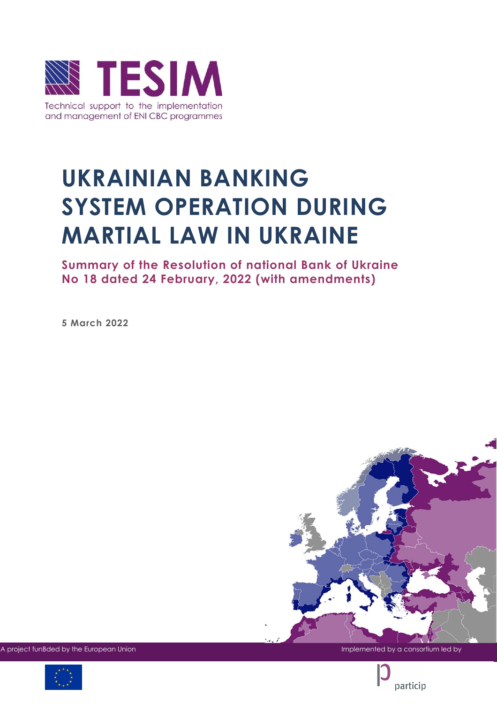

# **UKRAINIAN BANKING SYSTEM OPERATION DURING MARTIAL LAW IN UKRAINE**

**Summary of the Resolution of national Bank of Ukraine No 18 dated 24 February, 2022 (with amendments)** 

**5 March 2022**



A project funBded by the European Union Implemented by a consortium led by a consortium led by a consortium led by



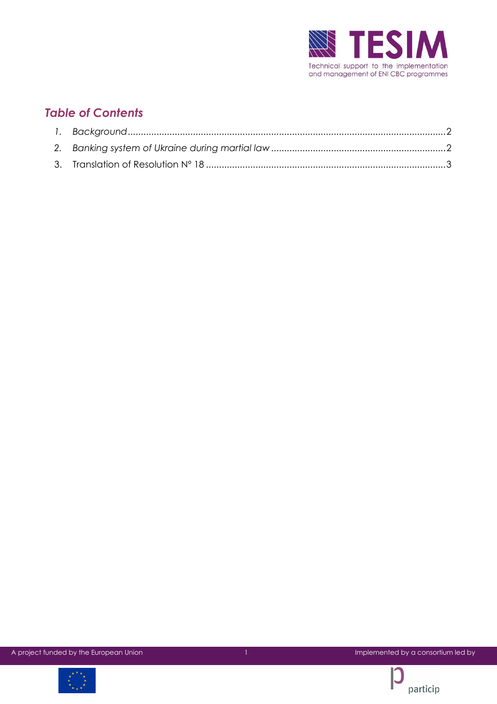

## *Table of Contents*



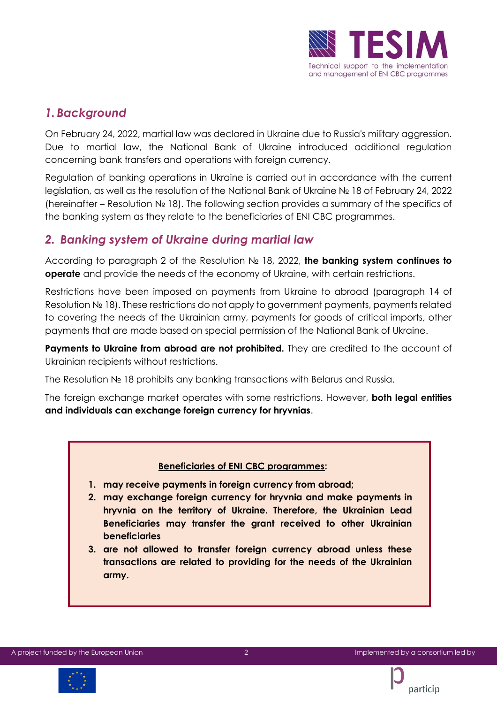

## <span id="page-2-0"></span>*1. Background*

On February 24, 2022, martial law was declared in Ukraine due to Russia's military aggression. Due to martial law, the National Bank of Ukraine introduced additional regulation concerning bank transfers and operations with foreign currency.

Regulation of banking operations in Ukraine is carried out in accordance with the current legislation, as well as the resolution of the National Bank of Ukraine № 18 of February 24, 2022 (hereinafter – Resolution № 18). The following section provides a summary of the specifics of the banking system as they relate to the beneficiaries of ENI CBC programmes.

## <span id="page-2-1"></span>*2. Banking system of Ukraine during martial law*

According to paragraph 2 of the Resolution № 18, 2022, **the banking system continues to operate** and provide the needs of the economy of Ukraine, with certain restrictions.

Restrictions have been imposed on payments from Ukraine to abroad (paragraph 14 of Resolution № 18). These restrictions do not apply to government payments, payments related to covering the needs of the Ukrainian army, payments for goods of critical imports, other payments that are made based on special permission of the National Bank of Ukraine.

Payments to Ukraine from abroad are not prohibited. They are credited to the account of Ukrainian recipients without restrictions.

The Resolution № 18 prohibits any banking transactions with Belarus and Russia.

The foreign exchange market operates with some restrictions. However, **both legal entities and individuals can exchange foreign currency for hryvnias**.

#### **Beneficiaries of ENI CBC programmes:**

- **1. may receive payments in foreign currency from abroad;**
- **2. may exchange foreign currency for hryvnia and make payments in hryvnia on the territory of Ukraine. Therefore, the Ukrainian Lead Beneficiaries may transfer the grant received to other Ukrainian beneficiaries**
- **3. are not allowed to transfer foreign currency abroad unless these transactions are related to providing for the needs of the Ukrainian army.**



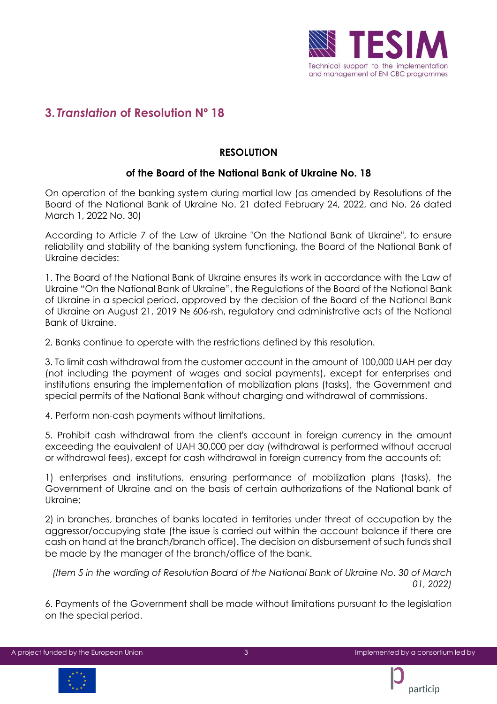

## <span id="page-3-0"></span>**3.** *Translation* **of Resolution Nº 18**

### **RESOLUTION**

#### **of the Board of the National Bank of Ukraine No. 18**

On operation of the banking system during martial law (as amended by Resolutions of the Board of the National Bank of Ukraine No. 21 dated February 24, 2022, and No. 26 dated March 1, 2022 No. 30)

According to Article 7 of the Law of Ukraine "On the National Bank of Ukraine", to ensure reliability and stability of the banking system functioning, the Board of the National Bank of Ukraine decides:

1. The Board of the National Bank of Ukraine ensures its work in accordance with the Law of Ukraine "On the National Bank of Ukraine", the Regulations of the Board of the National Bank of Ukraine in a special period, approved by the decision of the Board of the National Bank of Ukraine on August 21, 2019 № 606-rsh, regulatory and administrative acts of the National Bank of Ukraine.

2. Banks continue to operate with the restrictions defined by this resolution.

3. To limit cash withdrawal from the customer account in the amount of 100,000 UAH per day (not including the payment of wages and social payments), except for enterprises and institutions ensuring the implementation of mobilization plans (tasks), the Government and special permits of the National Bank without charging and withdrawal of commissions.

4. Perform non-cash payments without limitations.

5. Prohibit cash withdrawal from the client's account in foreign currency in the amount exceeding the equivalent of UAH 30,000 per day (withdrawal is performed without accrual or withdrawal fees), except for cash withdrawal in foreign currency from the accounts of:

1) enterprises and institutions, ensuring performance of mobilization plans (tasks), the Government of Ukraine and on the basis of certain authorizations of the National bank of Ukraine;

2) in branches, branches of banks located in territories under threat of occupation by the aggressor/occupying state (the issue is carried out within the account balance if there are cash on hand at the branch/branch office). The decision on disbursement of such funds shall be made by the manager of the branch/office of the bank.

*(Item 5 in the wording of Resolution Board of the National Bank of Ukraine No. 30 of March 01, 2022)* 

6. Payments of the Government shall be made without limitations pursuant to the legislation on the special period.



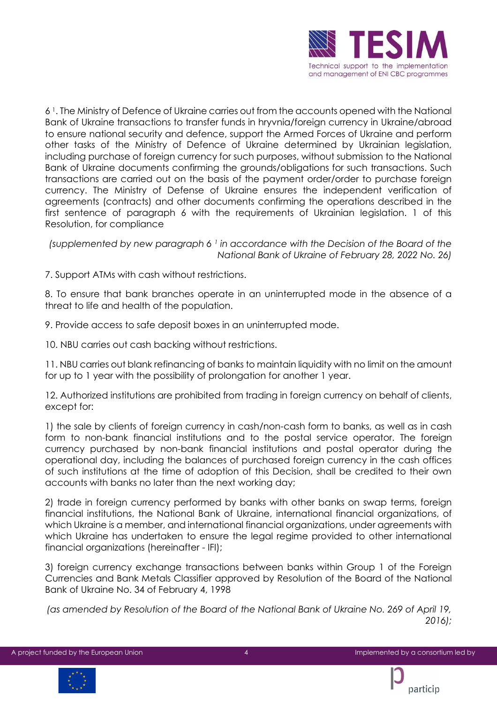

6 <sup>1</sup> . The Ministry of Defence of Ukraine carries out from the accounts opened with the National Bank of Ukraine transactions to transfer funds in hryvnia/foreign currency in Ukraine/abroad to ensure national security and defence, support the Armed Forces of Ukraine and perform other tasks of the Ministry of Defence of Ukraine determined by Ukrainian legislation, including purchase of foreign currency for such purposes, without submission to the National Bank of Ukraine documents confirming the grounds/obligations for such transactions. Such transactions are carried out on the basis of the payment order/order to purchase foreign currency. The Ministry of Defense of Ukraine ensures the independent verification of agreements (contracts) and other documents confirming the operations described in the first sentence of paragraph 6 with the requirements of Ukrainian legislation. 1 of this Resolution, for compliance

*(supplemented by new paragraph 6 <sup>1</sup> in accordance with the Decision of the Board of the National Bank of Ukraine of February 28, 2022 No. 26)*

7. Support ATMs with cash without restrictions.

8. To ensure that bank branches operate in an uninterrupted mode in the absence of a threat to life and health of the population.

9. Provide access to safe deposit boxes in an uninterrupted mode.

10. NBU carries out cash backing without restrictions.

11. NBU carries out blank refinancing of banks to maintain liquidity with no limit on the amount for up to 1 year with the possibility of prolongation for another 1 year.

12. Authorized institutions are prohibited from trading in foreign currency on behalf of clients, except for:

1) the sale by clients of foreign currency in cash/non-cash form to banks, as well as in cash form to non-bank financial institutions and to the postal service operator. The foreign currency purchased by non-bank financial institutions and postal operator during the operational day, including the balances of purchased foreign currency in the cash offices of such institutions at the time of adoption of this Decision, shall be credited to their own accounts with banks no later than the next working day;

2) trade in foreign currency performed by banks with other banks on swap terms, foreign financial institutions, the National Bank of Ukraine, international financial organizations, of which Ukraine is a member, and international financial organizations, under agreements with which Ukraine has undertaken to ensure the legal regime provided to other international financial organizations (hereinafter - IFI);

3) foreign currency exchange transactions between banks within Group 1 of the Foreign Currencies and Bank Metals Classifier approved by Resolution of the Board of the National Bank of Ukraine No. 34 of February 4, 1998

*(as amended by Resolution of the Board of the National Bank of Ukraine No. 269 of April 19, 2016);* 



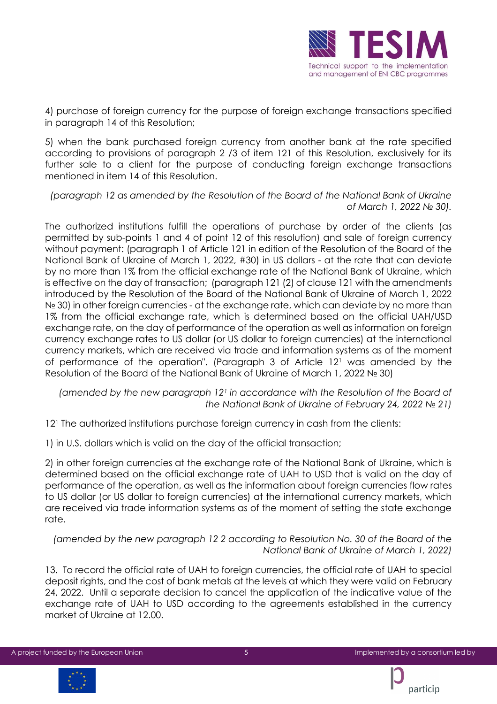

4) purchase of foreign currency for the purpose of foreign exchange transactions specified in paragraph 14 of this Resolution;

5) when the bank purchased foreign currency from another bank at the rate specified according to provisions of paragraph 2 /3 of item 121 of this Resolution, exclusively for its further sale to a client for the purpose of conducting foreign exchange transactions mentioned in item 14 of this Resolution.

*(paragraph 12 as amended by the Resolution of the Board of the National Bank of Ukraine of March 1, 2022 № 30).* 

The authorized institutions fulfill the operations of purchase by order of the clients (as permitted by sub-points 1 and 4 of point 12 of this resolution) and sale of foreign currency without payment: (paragraph 1 of Article 121 in edition of the Resolution of the Board of the National Bank of Ukraine of March 1, 2022, #30) in US dollars - at the rate that can deviate by no more than 1% from the official exchange rate of the National Bank of Ukraine, which is effective on the day of transaction; (paragraph 121 (2) of clause 121 with the amendments introduced by the Resolution of the Board of the National Bank of Ukraine of March 1, 2022 Nº 30) in other foreign currencies - at the exchange rate, which can deviate by no more than 1% from the official exchange rate, which is determined based on the official UAH/USD exchange rate, on the day of performance of the operation as well as information on foreign currency exchange rates to US dollar (or US dollar to foreign currencies) at the international currency markets, which are received via trade and information systems as of the moment of performance of the operation". (Paragraph 3 of Article 12<sup>1</sup> was amended by the Resolution of the Board of the National Bank of Ukraine of March 1, 2022 № 30)

*(amended by the new paragraph 12<sup>1</sup> in accordance with the Resolution of the Board of the National Bank of Ukraine of February 24, 2022 № 21)* 

12<sup>1</sup> The authorized institutions purchase foreign currency in cash from the clients:

1) in U.S. dollars which is valid on the day of the official transaction;

2) in other foreign currencies at the exchange rate of the National Bank of Ukraine, which is determined based on the official exchange rate of UAH to USD that is valid on the day of performance of the operation, as well as the information about foreign currencies flow rates to US dollar (or US dollar to foreign currencies) at the international currency markets, which are received via trade information systems as of the moment of setting the state exchange rate.

*(amended by the new paragraph 12 2 according to Resolution No. 30 of the Board of the National Bank of Ukraine of March 1, 2022)* 

13. To record the official rate of UAH to foreign currencies, the official rate of UAH to special deposit rights, and the cost of bank metals at the levels at which they were valid on February 24, 2022. Until a separate decision to cancel the application of the indicative value of the exchange rate of UAH to USD according to the agreements established in the currency market of Ukraine at 12.00.



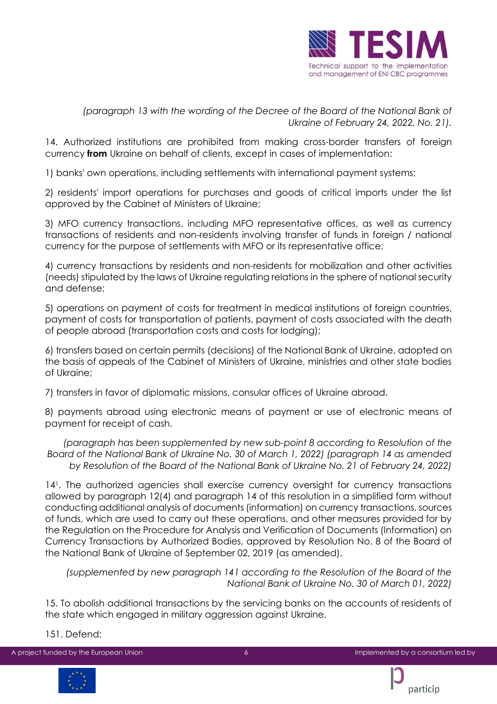

*(paragraph 13 with the wording of the Decree of the Board of the National Bank of Ukraine of February 24, 2022, No. 21).* 

14. Authorized institutions are prohibited from making cross-border transfers of foreign currency **from** Ukraine on behalf of clients, except in cases of implementation:

1) banks' own operations, including settlements with international payment systems;

2) residents' import operations for purchases and goods of critical imports under the list approved by the Cabinet of Ministers of Ukraine;

3) MFO currency transactions, including MFO representative offices, as well as currency transactions of residents and non-residents involving transfer of funds in foreign / national currency for the purpose of settlements with MFO or its representative office;

4) currency transactions by residents and non-residents for mobilization and other activities (needs) stipulated by the laws of Ukraine regulating relations in the sphere of national security and defense;

5) operations on payment of costs for treatment in medical institutions of foreign countries, payment of costs for transportation of patients, payment of costs associated with the death of people abroad (transportation costs and costs for lodging);

6) transfers based on certain permits (decisions) of the National Bank of Ukraine, adopted on the basis of appeals of the Cabinet of Ministers of Ukraine, ministries and other state bodies of Ukraine;

7) transfers in favor of diplomatic missions, consular offices of Ukraine abroad.

8) payments abroad using electronic means of payment or use of electronic means of payment for receipt of cash.

*(paragraph has been supplemented by new sub-point 8 according to Resolution of the Board of the National Bank of Ukraine No. 30 of March 1, 2022) (paragraph 14 as amended by Resolution of the Board of the National Bank of Ukraine No. 21 of February 24, 2022)*

14<sup>1</sup> . The authorized agencies shall exercise currency oversight for currency transactions allowed by paragraph 12(4) and paragraph 14 of this resolution in a simplified form without conducting additional analysis of documents (information) on currency transactions, sources of funds, which are used to carry out these operations, and other measures provided for by the Regulation on the Procedure for Analysis and Verification of Documents (Information) on Currency Transactions by Authorized Bodies, approved by Resolution No. 8 of the Board of the National Bank of Ukraine of September 02, 2019 (as amended).

*(supplemented by new paragraph 141 according to the Resolution of the Board of the National Bank of Ukraine No. 30 of March 01, 2022)* 

15. To abolish additional transactions by the servicing banks on the accounts of residents of the state which engaged in military aggression against Ukraine.

151. Defend:



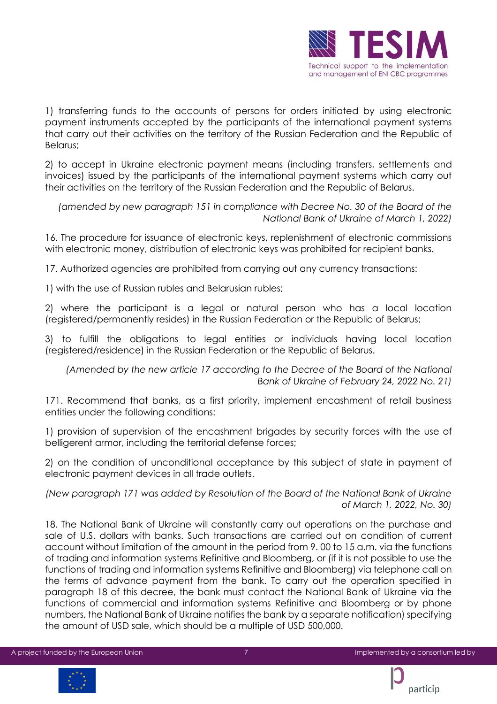

1) transferring funds to the accounts of persons for orders initiated by using electronic payment instruments accepted by the participants of the international payment systems that carry out their activities on the territory of the Russian Federation and the Republic of Belarus;

2) to accept in Ukraine electronic payment means (including transfers, settlements and invoices) issued by the participants of the international payment systems which carry out their activities on the territory of the Russian Federation and the Republic of Belarus.

*(amended by new paragraph 151 in compliance with Decree No. 30 of the Board of the National Bank of Ukraine of March 1, 2022)* 

16. The procedure for issuance of electronic keys, replenishment of electronic commissions with electronic money, distribution of electronic keys was prohibited for recipient banks.

17. Authorized agencies are prohibited from carrying out any currency transactions:

1) with the use of Russian rubles and Belarusian rubles;

2) where the participant is a legal or natural person who has a local location (registered/permanently resides) in the Russian Federation or the Republic of Belarus;

3) to fulfill the obligations to legal entities or individuals having local location (registered/residence) in the Russian Federation or the Republic of Belarus.

*(Amended by the new article 17 according to the Decree of the Board of the National Bank of Ukraine of February 24, 2022 No. 21)* 

171. Recommend that banks, as a first priority, implement encashment of retail business entities under the following conditions:

1) provision of supervision of the encashment brigades by security forces with the use of belligerent armor, including the territorial defense forces;

2) on the condition of unconditional acceptance by this subject of state in payment of electronic payment devices in all trade outlets.

*(New paragraph 171 was added by Resolution of the Board of the National Bank of Ukraine of March 1, 2022, No. 30)* 

18. The National Bank of Ukraine will constantly carry out operations on the purchase and sale of U.S. dollars with banks. Such transactions are carried out on condition of current account without limitation of the amount in the period from 9. 00 to 15 a.m. via the functions of trading and information systems Refinitive and Bloomberg, or (if it is not possible to use the functions of trading and information systems Refinitive and Bloomberg) via telephone call on the terms of advance payment from the bank. To carry out the operation specified in paragraph 18 of this decree, the bank must contact the National Bank of Ukraine via the functions of commercial and information systems Refinitive and Bloomberg or by phone numbers, the National Bank of Ukraine notifies the bank by a separate notification) specifying the amount of USD sale, which should be a multiple of USD 500,000.